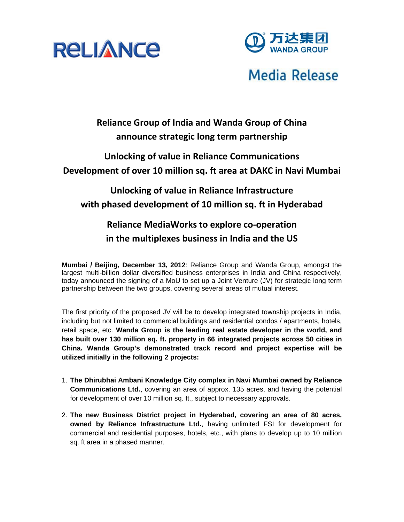



# **Media Release**

### **Reliance Group of India and Wanda Group of China announce strategic long term partnership**

### **Unlocking of value in Reliance Communications Development of over 10 million sq. ft area at DAKC in Navi Mumbai**

## **Unlocking of value in Reliance Infrastructure with phased development of 10 million sq. ft in Hyderabad**

## **Reliance MediaWorks to explore co‐operation in the multiplexes business in India and the US**

**Mumbai / Beijing, December 13, 2012**: Reliance Group and Wanda Group, amongst the largest multi-billion dollar diversified business enterprises in India and China respectively, today announced the signing of a MoU to set up a Joint Venture (JV) for strategic long term partnership between the two groups, covering several areas of mutual interest.

The first priority of the proposed JV will be to develop integrated township projects in India, including but not limited to commercial buildings and residential condos / apartments, hotels, retail space, etc. **Wanda Group is the leading real estate developer in the world, and has built over 130 million sq. ft. property in 66 integrated projects across 50 cities in China. Wanda Group's demonstrated track record and project expertise will be utilized initially in the following 2 projects:** 

- 1. **The Dhirubhai Ambani Knowledge City complex in Navi Mumbai owned by Reliance Communications Ltd.**, covering an area of approx. 135 acres, and having the potential for development of over 10 million sq. ft., subject to necessary approvals.
- 2. **The new Business District project in Hyderabad, covering an area of 80 acres, owned by Reliance Infrastructure Ltd.**, having unlimited FSI for development for commercial and residential purposes, hotels, etc., with plans to develop up to 10 million sq. ft area in a phased manner.